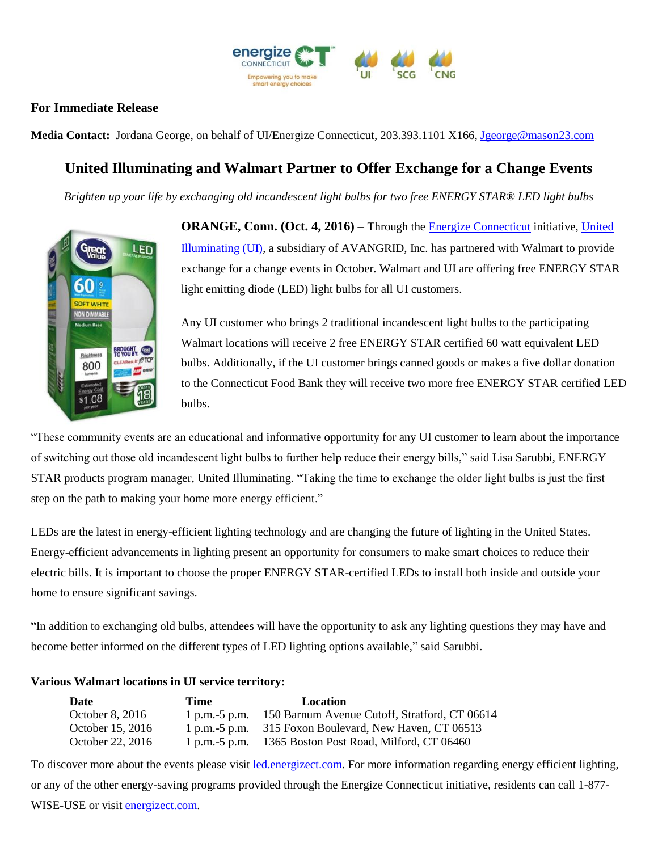

## **For Immediate Release**

Media Contact: Jordana George, on behalf of UI/Energize Connecticut, 203.393.1101 X166, [Jgeorge@mason23.com](mailto:Jgeorge@mason23.com)

## **United Illuminating and Walmart Partner to Offer Exchange for a Change Events**

*Brighten up your life by exchanging old incandescent light bulbs for two free ENERGY STAR® LED light bulbs*



**ORANGE, Conn. (Oct. 4, 2016)** – Through th[e Energize Connecticut](http://www.energizect.com/?vsrefdom=public-relations&utm_campaign=LED&utm_medium=public-relations&utm_source=ui-media-list&utm_content=&utm_term=) initiative, [United](http://www.uinet.com/?vsrefdom=public-relations&utm_campaign=LED&utm_medium=public-relations&utm_source=ui-media-list&utm_content=&utm_term=)  [Illuminating \(UI\),](http://www.uinet.com/?vsrefdom=public-relations&utm_campaign=LED&utm_medium=public-relations&utm_source=ui-media-list&utm_content=&utm_term=) a subsidiary of AVANGRID, Inc. has partnered with Walmart to provide exchange for a change events in October. Walmart and UI are offering free ENERGY STAR light emitting diode (LED) light bulbs for all UI customers.

Any UI customer who brings 2 traditional incandescent light bulbs to the participating Walmart locations will receive 2 free ENERGY STAR certified 60 watt equivalent LED bulbs. Additionally, if the UI customer brings canned goods or makes a five dollar donation to the Connecticut Food Bank they will receive two more free ENERGY STAR certified LED bulbs.

"These community events are an educational and informative opportunity for any UI customer to learn about the importance of switching out those old incandescent light bulbs to further help reduce their energy bills," said Lisa Sarubbi, ENERGY STAR products program manager, United Illuminating. "Taking the time to exchange the older light bulbs is just the first step on the path to making your home more energy efficient."

LEDs are the latest in energy-efficient lighting technology and are changing the future of lighting in the United States. Energy-efficient advancements in lighting present an opportunity for consumers to make smart choices to reduce their electric bills. It is important to choose the proper ENERGY STAR-certified LEDs to install both inside and outside your home to ensure significant savings.

"In addition to exchanging old bulbs, attendees will have the opportunity to ask any lighting questions they may have and become better informed on the different types of LED lighting options available," said Sarubbi.

## **Various Walmart locations in UI service territory:**

| Date             | Time             | <b>Location</b>                                         |
|------------------|------------------|---------------------------------------------------------|
| October 8, 2016  | 1 p.m. $-5$ p.m. | 150 Barnum Avenue Cutoff, Stratford, CT 06614           |
| October 15, 2016 |                  | 1 p.m. -5 p.m. 315 Foxon Boulevard, New Haven, CT 06513 |
| October 22, 2016 | $1$ p.m.-5 p.m.  | 1365 Boston Post Road, Milford, CT 06460                |

To discover more about the events please visit [led.energizect.com.](http://www.led.energizect.com/) For more information regarding energy efficient lighting, or any of the other energy-saving programs provided through the Energize Connecticut initiative, residents can call 1-877- WISE-USE or visit [energizect.com.](http://www.energizect.com/?vsrefdom=public-relations&utm_campaign=LED&utm_medium=public-relations&utm_source=ui-media-list&utm_content=&utm_term=)